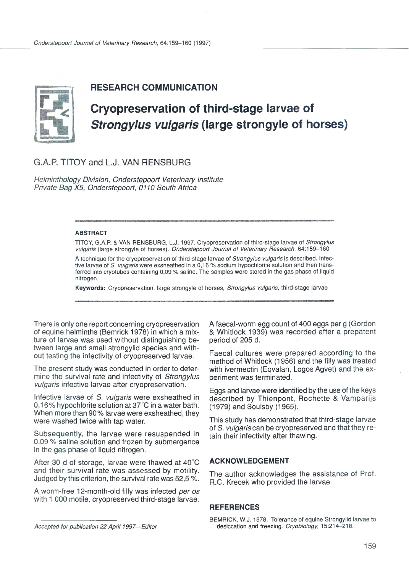

# **RESEARCH COMMUNICATION**

# **Cryopreservation of third-stage larvae of Strongylus vulgaris (large strongyle of horses)**

G.A.P. TITOY and L.J. VAN RENSBURG

Helminthology Division, Onderstepoort Veterinary Institute Private Bag X5, Onderstepoort, 0110 South Africa

#### ABSTRACT

TITOY, G.A.P. & VAN RENSBURG, L.J. 1997. Cryopreservation of third-stage larvae of Strongylus vulgaris (large strongyle of horses). Onderstepoort Journal of Veterinary Research, 64:159-160

A technique for the cryopreservation of third-stage larvae of Strongylus vulgaris is described. Infective larvae of S. vulgaris were exsheathed in a 0,16 % sodium hypochlorite solution and then transferred into cryotubes containing 0,09 % saline. The samples were stored in the gas phase of liquid nitrogen.

Keywords: Cryopreservation, large strongyle of horses, Strongylus vulgaris, third-stage larvae

There is only one report concerning cryopreservation of equine helminths (Bemrick 1978) in which a mixture of larvae was used without distinguishing between large and small strongylid species and without testing the infectivity of cryopreserved larvae.

The present study was conducted in order to determine the survival rate and infectivity of Strongylus vulgaris infective larvae after cryopreservation.

Infective larvae of S. vulgaris were exsheathed in 0,16% hypochlorite solution at 37°C in a water bath. When more than 90% larvae were exsheathed, they were washed twice with tap water.

Subsequently, the larvae were resuspended in 0,09 % saline solution and frozen by submergence in the gas phase of liquid nitrogen.

After 30 d of storage, larvae were thawed at 40°C and their survival rate was assessed by motility. Judged by this criterion, the survival rate was 52,5 %.

A worm-free 12-month-old filly was infected per os with 1 000 motile, cryopreserved third-stage larvae.

Faecal cultures were prepared according to the method of Whitlock (1956) and the filly was treated with ivermectin (Eqvalan, Logos Agvet) and the experiment was terminated.

Eggs and larvae were identified by the use of the keys described by Thienpont, Rochette & Vamparijs (1979) and Soulsby (1965).

This study has demonstrated that third-stage larvae of S. vulgaris can be cryopreserved and that they retain their infectivity after thawing.

### **ACKNOWLEDGEMENT**

The author acknowledges the assistance of Prof. R.C. Krecek who provided the larvae.

## **REFERENCES**

A faecal-worm egg count of 400 eggs per g (Gordon & Whitlock 1939) was recorded after a prepatent period of 205 d.

BEMRICK, W.J. 1978. Tolerance of equine Strongylid larvae to desiccation and freezing. Cryobiology, 15:214-218.

Accepted for publication 22 April 1997-Editor